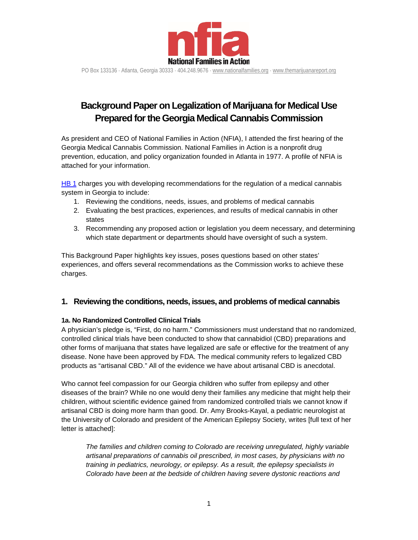

PO Box 133136 ⋅ Atlanta, Georgia 30333 ⋅ 404.248.9676 ⋅ [www.nationalfamilies.org](http://www.nationalfamilies.org/) ⋅ [www.themarijuanareport.org](http://www.themarijuanareport.org/)

# **Background Paper on Legalization of Marijuana for Medical Use Prepared for the Georgia Medical Cannabis Commission**

As president and CEO of National Families in Action (NFIA), I attended the first hearing of the Georgia Medical Cannabis Commission. National Families in Action is a nonprofit drug prevention, education, and policy organization founded in Atlanta in 1977. A profile of NFIA is attached for your information.

[HB 1](http://www.legis.ga.gov/Legislation/20152016/152355.pdf) charges you with developing recommendations for the regulation of a medical cannabis system in Georgia to include:

- 1. Reviewing the conditions, needs, issues, and problems of medical cannabis
- 2. Evaluating the best practices, experiences, and results of medical cannabis in other states
- 3. Recommending any proposed action or legislation you deem necessary, and determining which state department or departments should have oversight of such a system.

This Background Paper highlights key issues, poses questions based on other states' experiences, and offers several recommendations as the Commission works to achieve these charges.

# **1. Reviewing the conditions, needs, issues, and problems of medical cannabis**

# **1a. No Randomized Controlled Clinical Trials**

A physician's pledge is, "First, do no harm." Commissioners must understand that no randomized, controlled clinical trials have been conducted to show that cannabidiol (CBD) preparations and other forms of marijuana that states have legalized are safe or effective for the treatment of any disease. None have been approved by FDA. The medical community refers to legalized CBD products as "artisanal CBD." All of the evidence we have about artisanal CBD is anecdotal.

Who cannot feel compassion for our Georgia children who suffer from epilepsy and other diseases of the brain? While no one would deny their families any medicine that might help their children, without scientific evidence gained from randomized controlled trials we cannot know if artisanal CBD is doing more harm than good. Dr. Amy Brooks-Kayal, a pediatric neurologist at the University of Colorado and president of the American Epilepsy Society, writes [full text of her letter is attached]:

*The families and children coming to Colorado are receiving unregulated, highly variable artisanal preparations of cannabis oil prescribed, in most cases, by physicians with no training in pediatrics, neurology, or epilepsy. As a result, the epilepsy specialists in Colorado have been at the bedside of children having severe dystonic reactions and*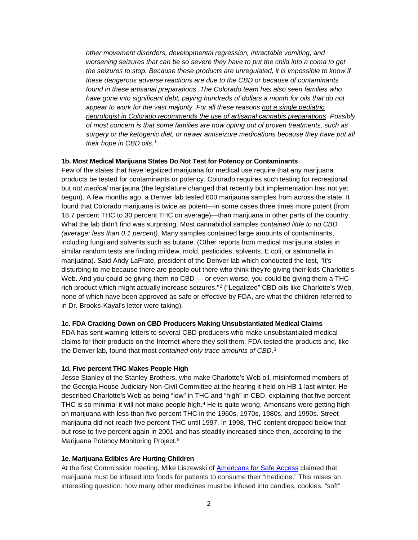*other movement disorders, developmental regression, intractable vomiting, and worsening seizures that can be so severe they have to put the child into a coma to get the seizures to stop. Because these products are unregulated, it is impossible to know if these dangerous adverse reactions are due to the CBD or because of contaminants found in these artisanal preparations. The Colorado team has also seen families who have gone into significant debt, paying hundreds of dollars a month for oils that do not appear to work for the vast majority. For all these reasons not a single pediatric neurologist in Colorado recommends the use of artisanal cannabis preparations. Possibly of most concern is that some families are now opting out of proven treatments, such as surgery or the ketogenic diet, or newer antiseizure medications because they have put all their hope in CBD oils.[1](#page-12-0)*

#### **1b. Most Medical Marijuana States Do Not Test for Potency or Contaminants**

Few of the states that have legalized marijuana for medical use require that any marijuana products be tested for contaminants or potency. Colorado requires such testing for recreational but *not medical* marijauna (the legislature changed that recently but implementation has not yet begun). A few months ago, a Denver lab tested 600 marijauna samples from across the state. It found that Colorado marijuana is twice as potent—in some cases three times more potent (from 18.7 percent THC to 30 percent THC on average)—than marijuana in other parts of the country. What the lab didn't find was surprising. Most cannabidiol samples *contained little to no CBD (average: less than 0.1 percent)*. Many samples contained large amounts of contaminants, including fungi and solvents such as butane. (Other reports from medical marijauna states in similar random tests are finding mildew, mold, pesticides, solvents, E coli, or salmonella in marijuana). Said Andy LaFrate, president of the Denver lab which conducted the test, "It's disturbing to me because there are people out there who think they're giving their kids Charlotte's Web. And you could be giving them no CBD — or even worse, you could be giving them a THCrich product which might actually increase seizures."[2](#page-12-1) ("Legalized" CBD oils like Charlotte's Web, none of which have been approved as safe or effective by FDA, are what the children referred to in Dr. Brooks-Kayal's letter were taking).

# **1c. FDA Cracking Down on CBD Producers Making Unsubstantiated Medical Claims**

FDA has sent warning letters to several CBD producers who make unsubstantiated medical claims for their products on the Internet where they sell them. FDA tested the products and, like the Denver lab, found that most *contained only trace amounts of CBD*.[3](#page-12-2)

#### **1d. Five percent THC Makes People High**

Jesse Stanley of the Stanley Brothers, who make Charlotte's Web oil, misinformed members of the Georgia House Judiciary Non-Civil Committee at the hearing it held on HB 1 last winter. He described Charlotte's Web as being "low" in THC and "high" in CBD, explaining that five percent THC is so minimal it will not make people high.<sup>[4](#page-12-3)</sup> He is quite wrong. Americans were getting high on marijuana with less than five percent THC in the 1960s, 1970s, 1980s, and 1990s. Street marijauna did not reach five percent THC until 1997. In 1998, THC content dropped below that but rose to five percent again in 2001 and has steadily increased since then, according to the Marijuana Potency Monitoring Project.[5](#page-12-4)

#### **1e. Marijuana Edibles Are Hurting Children**

At the first Commission meeting, Mike Liszewski of [Americans for Safe Access](http://www.safeaccessnow.org/) claimed that marijuana must be infused into foods for patients to consume their "medicine." This raises an interesting question: how many other medicines must be infused into candies, cookies, "soft"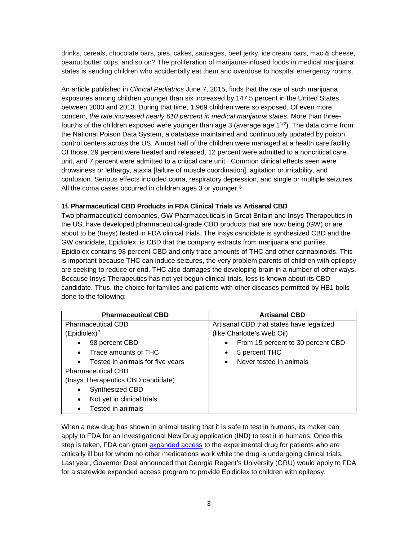drinks, cereals, chocolate bars, pies, cakes, sausages, beef jerky, ice cream bars, mac & cheese, peanut butter cups, and so on? The proliferation of marijauna-infused foods in medical marijuana states is sending children who accidentally eat them and overdose to hospital emergency rooms.

An article published in *Clinical Pediatrics* June 7, 2015, finds that the rate of such marijuana exposures among children younger than six increased by 147.5 percent in the United States between 2000 and 2013. During that time, 1,969 children were so exposed. Of even more concern, *the rate increased nearly 610 percent in medical marijauna states.* More than threefourths of the children exposed were younger than age 3 (average age  $1^{1/2}$ ). The data come from the National Poison Data System, a database maintained and continuously updated by poison control centers across the US. Almost half of the children were managed at a health care facility. Of those, 29 percent were treated and released, 12 percent were admitted to a noncritical care unit, and 7 percent were admitted to a critical care unit. Common clinical effects seen were drowsiness or lethargy, ataxia [failure of muscle coordination], agitation or irritability, and confusion. Serious effects included coma, respiratory depression, and single or multiple seizures. All the coma cases occurred in children ages 3 or younger.<sup>[6](#page-12-5)</sup>

# **1f. Pharmaceutical CBD Products in FDA Clinical Trials vs Artisanal CBD**

Two pharmaceutical companies, GW Pharmaceuticals in Great Britain and Insys Therapeutics in the US, have developed pharmaceutical-grade CBD products that are now being (GW) or are about to be (Insys) tested in FDA clinical trials. The Insys candidate is synthesized CBD and the GW candidate, Epidiolex, is CBD that the company extracts from marijuana and purifies. Epidiolex contains 98 percent CBD and only trace amounts of THC and other cannabinoids. This is important because THC can induce seizures, the very problem parents of children with epilepsy are seeking to reduce or end. THC also damages the developing brain in a number of other ways. Because Insys Therapeutics has not yet begun clinical trials, less is known about its CBD candidate. Thus, the choice for families and patients with other diseases permitted by HB1 boils done to the following:

| <b>Pharmaceutical CBD</b>                     | <b>Artisanal CBD</b>                           |
|-----------------------------------------------|------------------------------------------------|
| <b>Pharmaceutical CBD</b>                     | Artisanal CBD that states have legalized       |
| (Epidiolex) <sup>7</sup>                      | (like Charlotte's Web Oil)                     |
| 98 percent CBD<br>٠                           | From 15 percent to 30 percent CBD<br>$\bullet$ |
| Trace amounts of THC<br>$\bullet$             | 5 percent THC<br>$\bullet$                     |
| Tested in animals for five years<br>$\bullet$ | Never tested in animals<br>$\bullet$           |
| <b>Pharmaceutical CBD</b>                     |                                                |
| (Insys Therapeutics CBD candidate)            |                                                |
| Synthesized CBD                               |                                                |
| Not yet in clinical trials<br>$\bullet$       |                                                |
| Tested in animals<br>$\bullet$                |                                                |

When a new drug has shown in animal testing that it is safe to test in humans, its maker can apply to FDA for an Investigational New Drug application (IND) to test it in humans. Once this step is taken, FDA can grant [expanded access](http://www.fda.gov/ForPatients/Other/ExpandedAccess/ucm20041768.htm) to the experimental drug for patients who are critically ill but for whom no other medications work while the drug is undergoing clinical trials. Last year, Governor Deal announced that Georgia Regent's University (GRU) would apply to FDA for a statewide expanded access program to provide Epidiolex to children with epilepsy.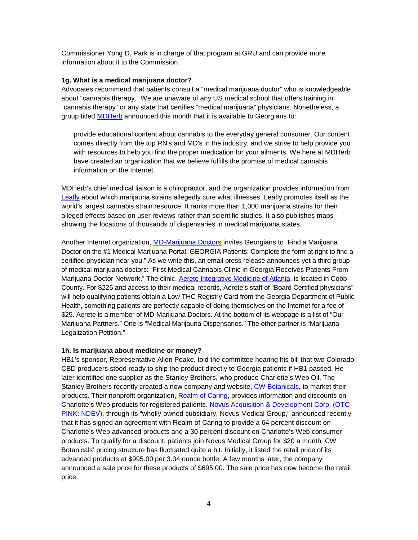Commissioner Yong D. Park is in charge of that program at GRU and can provide more information about it to the Commission.

## **1g. What is a medical marijuana doctor?**

Advocates recommend that patients consult a "medical marijuana doctor" who is knowledgeable about "cannabis therapy." We are unaware of any US medical school that offers training in "cannabis therapy" or any state that certifies "medical marijuana" physicians. Nonetheless, a group titled [MDHerb](http://www.md-herb.com/about-us/) announced this month that it is available to Georgians to:

provide educational content about cannabis to the everyday general consumer. Our content comes directly from the top RN's and MD's in the industry, and we strive to help provide you with resources to help you find the proper medication for your ailments. We here at MDHerb have created an organization that we believe fulfills the promise of medical cannabis information on the Internet.

MDHerb's chief medical liaison is a chiropractor, and the organization provides information from [Leafly](https://www.leafly.com/) about which marijauna strains allegedly cure what illnesses. Leafly promotes itself as the world's largest cannabis strain resource. It ranks more than 1,000 marijuana strains for their alleged effects based on user reviews rather than scientific studies. It also publishes maps showing the locations of thousands of dispensaries in medical marijuana states.

Another Internet organization, [MD-Marijuana Doctors](https://www.marijuanadoctors.com/) invites Georgians to "Find a Marijuana Doctor on the #1 Medical Marijuana Portal. GEORGIA Patients: Complete the form at right to find a certified physician near you." As we write this, an email press release announces yet a third group of medical marijuana doctors: "First Medical Cannabis Clinic in Georgia Receives Patients From Marijuana Doctor Network." The clinic, [Aerete Integrative Medicine of Atlanta,](https://www.marijuanadoctors.com/medical-marijuana-doctors/GA/atlanta/aerete-integrative-medicine-of-atlanta_1545) is located in Cobb County. For \$225 and access to their medical records, Aerete's staff of "Board Certified physicians" will help qualifying patients obtain a Low THC Registry Card from the Georgia Department of Public Health, something patients are perfectly capable of doing themselves on the Internet for a fee of \$25. Aerete is a member of MD-Marijuana Doctors. At the bottom of its webpage is a list of "Our Marijuana Partners." One is "Medical Marijauna Dispensaries." The other partner is "Marijuana Legalization Petition."

#### **1h. Is marijuana about medicine or money?**

HB1's sponsor, Representative Allen Peake, told the committee hearing his bill that two Colorado CBD producers stood ready to ship the product directly to Georgia patients if HB1 passed. He later identified one supplier as the Stanley Brothers, who produce Charlotte's Web Oil. The Stanley Brothers recently created a new company and website, [CW Botanicals,](http://cwbotanicals.com/) to market their products. Their nonprofit organization, [Realm of Caring,](https://www.theroc.us/) provides information and discounts on Charlotte's Web products for registered patients. [Novus Acquisition & Development Corp. \(OTC](http://money.cnn.com/news/newsfeeds/articles/marketwire/1206750.htm)  [PINK: NDEV\),](http://money.cnn.com/news/newsfeeds/articles/marketwire/1206750.htm) through its "wholly-owned subsidiary, Novus Medical Group," announced recently that it has signed an agreement with Realm of Caring to provide a 64 percent discount on Charlotte's Web advanced products and a 30 percent discount on Charlotte's Web consumer products. To qualify for a discount, patients join Novus Medical Group for \$20 a month. CW Botanicals' pricing structure has fluctuated quite a bit. Initially, it listed the retail price of its advanced products at \$995.00 per 3.34 ounce bottle. A few months later, the company announced a sale price for these products of \$695.00. The sale price has now become the retail price.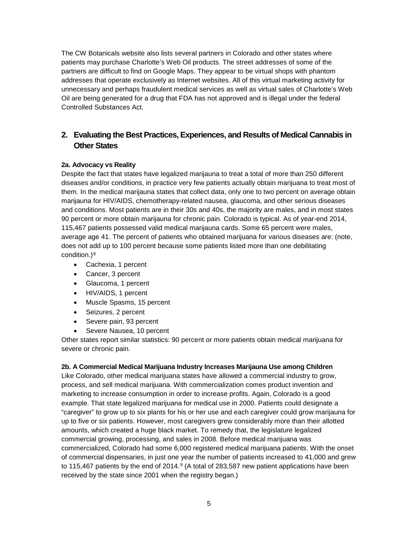The CW Botanicals website also lists several partners in Colorado and other states where patients may purchase Charlotte's Web Oil products. The street addresses of some of the partners are difficult to find on Google Maps. They appear to be virtual shops with phantom addresses that operate exclusively as Internet websites. All of this virtual marketing activity for unnecessary and perhaps fraudulent medical services as well as virtual sales of Charlotte's Web Oil are being generated for a drug that FDA has not approved and is illegal under the federal Controlled Substances Act.

# **2. Evaluating the Best Practices, Experiences, and Results of Medical Cannabis in Other States**

# **2a. Advocacy vs Reality**

Despite the fact that states have legalized marijauna to treat a total of more than 250 different diseases and/or conditions, in practice very few patients actually obtain marijuana to treat most of them. In the medical marijauna states that collect data, only one to two percent on average obtain marijauna for HIV/AIDS, chemotherapy-related nausea, glaucoma, and other serious diseases and conditions. Most patients are in their 30s and 40s, the majority are males, and in most states 90 percent or more obtain marijauna for chronic pain. Colorado is typical. As of year-end 2014, 115,467 patients possessed valid medical marijauna cards. Some 65 percent were males, average age 41. The percent of patients who obtained marijuana for various diseases are: (note, does not add up to 100 percent because some patients listed more than one debilitating condition.)<sup>[8](#page-12-7)</sup>

- Cachexia, 1 percent
- Cancer, 3 percent
- Glaucoma, 1 percent
- HIV/AIDS, 1 percent
- Muscle Spasms, 15 percent
- Seizures, 2 percent
- Severe pain, 93 percent
- Severe Nausea, 10 percent

Other states report similar statistics: 90 percent or more patients obtain medical marijuana for severe or chronic pain.

# **2b. A Commercial Medical Marijuana Industry Increases Marijauna Use among Children**

Like Colorado, other medical marijuana states have allowed a commercial industry to grow, process, and sell medical marijuana. With commercialization comes product invention and marketing to increase consumption in order to increase profits. Again, Colorado is a good example. That state legalized marijuana for medical use in 2000. Patients could designate a "caregiver" to grow up to six plants for his or her use and each caregiver could grow marijauna for up to five or six patients. However, most caregivers grew considerably more than their allotted amounts, which created a huge black market. To remedy that, the legislature legalized commercial growing, processing, and sales in 2008. Before medical marijuana was commercialized, Colorado had some 6,000 registered medical marijuana patients. With the onset of commercial dispensaries, in just one year the number of patients increased to 41,000 and grew to 115,467 patients by the end of 2014.<sup>[9](#page-12-8)</sup> (A total of 283,587 new patient applications have been received by the state since 2001 when the registry began.)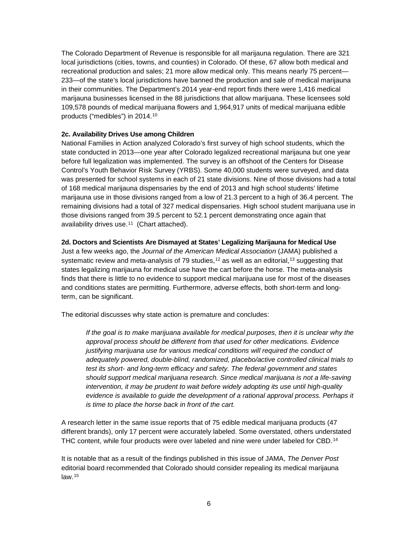The Colorado Department of Revenue is responsible for all marijauna regulation. There are 321 local jurisdictions (cities, towns, and counties) in Colorado. Of these, 67 allow both medical and recreational production and sales; 21 more allow medical only. This means nearly 75 percent— 233—of the state's local jurisdictions have banned the production and sale of medical marijauna in their communities. The Department's 2014 year-end report finds there were 1,416 medical marijauna businesses licensed in the 88 jurisdictions that allow marijuana. These licensees sold 109,578 pounds of medical marijuana flowers and 1,964,917 units of medical marijuana edible products ("medibles") in 2014.[10](#page-12-9)

## **2c. Availability Drives Use among Children**

National Families in Action analyzed Colorado's first survey of high school students, which the state conducted in 2013—one year after Colorado legalized recreational marijauna but one year before full legalization was implemented. The survey is an offshoot of the Centers for Disease Control's Youth Behavior Risk Survey (YRBS). Some 40,000 students were surveyed, and data was presented for school systems in each of 21 state divisions. Nine of those divisions had a total of 168 medical marijauna dispensaries by the end of 2013 and high school students' lifetime marijauna use in those divisions ranged from a low of 21.3 percent to a high of 36.4 percent. The remaining divisions had a total of 327 medical dispensaries. High school student marijuana use in those divisions ranged from 39.5 percent to 52.1 percent demonstrating once again that availability drives use.[11](#page-12-10) (Chart attached).

### **2d. Doctors and Scientists Are Dismayed at States' Legalizing Marijauna for Medical Use**

Just a few weeks ago, the *Journal of the American Medical Association* (JAMA) published a systematic review and meta-analysis of 79 studies,<sup>[12](#page-12-11)</sup> as well as an editorial,<sup>[13](#page-12-12)</sup> suggesting that states legalizing marijauna for medical use have the cart before the horse. The meta-analysis finds that there is little to no evidence to support medical marijuana use for most of the diseases and conditions states are permitting. Furthermore, adverse effects, both short-term and longterm, can be significant.

The editorial discusses why state action is premature and concludes:

*If the goal is to make marijuana available for medical purposes, then it is unclear why the approval process should be different from that used for other medications. Evidence justifying marijuana use for various medical conditions will required the conduct of adequately powered, double-blind, randomized, placebo/active controlled clinical trials to test its short- and long-term efficacy and safety. The federal government and states should support medical marijuana research. Since medical marijuana is not a life-saving intervention, it may be prudent to wait before widely adopting its use until high-quality evidence is available to guide the development of a rational approval process. Perhaps it is time to place the horse back in front of the cart.*

A research letter in the same issue reports that of 75 edible medical marijuana products (47 different brands), only 17 percent were accurately labeled. Some overstated, others understated THC content, while four products were over labeled and nine were under labeled for CBD.<sup>[14](#page-12-13)</sup>

It is notable that as a result of the findings published in this issue of JAMA, *The Denver Post*  editorial board recommended that Colorado should consider repealing its medical marijauna  $law.<sup>15</sup>$  $law.<sup>15</sup>$  $law.<sup>15</sup>$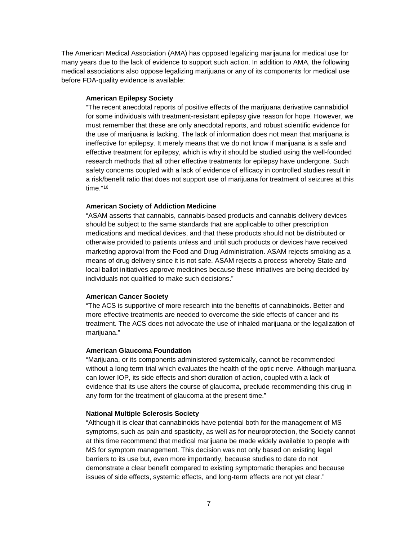The American Medical Association (AMA) has opposed legalizing marijauna for medical use for many years due to the lack of evidence to support such action. In addition to AMA, the following medical associations also oppose legalizing marijuana or any of its components for medical use before FDA-quality evidence is available:

#### **American Epilepsy Society**

"The recent anecdotal reports of positive effects of the marijuana derivative cannabidiol for some individuals with treatment-resistant epilepsy give reason for hope. However, we must remember that these are only anecdotal reports, and robust scientific evidence for the use of marijuana is lacking. The lack of information does not mean that marijuana is ineffective for epilepsy. It merely means that we do not know if marijuana is a safe and effective treatment for epilepsy, which is why it should be studied using the well-founded research methods that all other effective treatments for epilepsy have undergone. Such safety concerns coupled with a lack of evidence of efficacy in controlled studies result in a risk/benefit ratio that does not support use of marijuana for treatment of seizures at this time."[16](#page-12-15)

#### **American Society of Addiction Medicine**

"ASAM asserts that cannabis, cannabis-based products and cannabis delivery devices should be subject to the same standards that are applicable to other prescription medications and medical devices, and that these products should not be distributed or otherwise provided to patients unless and until such products or devices have received marketing approval from the Food and Drug Administration. ASAM rejects smoking as a means of drug delivery since it is not safe. ASAM rejects a process whereby State and local ballot initiatives approve medicines because these initiatives are being decided by individuals not qualified to make such decisions."

#### **American Cancer Society**

"The ACS is supportive of more research into the benefits of cannabinoids. Better and more effective treatments are needed to overcome the side effects of cancer and its treatment. The ACS does not advocate the use of inhaled marijuana or the legalization of marijuana."

#### **American Glaucoma Foundation**

"Marijuana, or its components administered systemically, cannot be recommended without a long term trial which evaluates the health of the optic nerve. Although marijuana can lower IOP, its side effects and short duration of action, coupled with a lack of evidence that its use alters the course of glaucoma, preclude recommending this drug in any form for the treatment of glaucoma at the present time."

#### **National Multiple Sclerosis Society**

"Although it is clear that cannabinoids have potential both for the management of MS symptoms, such as pain and spasticity, as well as for neuroprotection, the Society cannot at this time recommend that medical marijuana be made widely available to people with MS for symptom management. This decision was not only based on existing legal barriers to its use but, even more importantly, because studies to date do not demonstrate a clear benefit compared to existing symptomatic therapies and because issues of side effects, systemic effects, and long-term effects are not yet clear."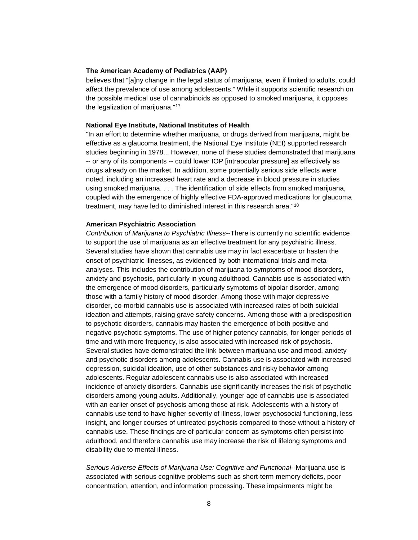#### **The American Academy of Pediatrics (AAP)**

believes that "[a]ny change in the legal status of marijuana, even if limited to adults, could affect the prevalence of use among adolescents." While it supports scientific research on the possible medical use of cannabinoids as opposed to smoked marijuana, it opposes the legalization of marijuana."[17](#page-12-16)

#### **National Eye Institute, National Institutes of Health**

"In an effort to determine whether marijuana, or drugs derived from marijuana, might be effective as a glaucoma treatment, the National Eye Institute (NEI) supported research studies beginning in 1978... However, none of these studies demonstrated that marijuana -- or any of its components -- could lower IOP [intraocular pressure] as effectively as drugs already on the market. In addition, some potentially serious side effects were noted, including an increased heart rate and a decrease in blood pressure in studies using smoked marijuana. . . . The identification of side effects from smoked marijuana, coupled with the emergence of highly effective FDA-approved medications for glaucoma treatment, may have led to diminished interest in this research area."[18](#page-12-17)

#### **American Psychiatric Association**

*Contribution of Marijuana to Psychiatric Illness*--There is currently no scientific evidence to support the use of marijuana as an effective treatment for any psychiatric illness. Several studies have shown that cannabis use may in fact exacerbate or hasten the onset of psychiatric illnesses, as evidenced by both international trials and metaanalyses. This includes the contribution of marijuana to symptoms of mood disorders, anxiety and psychosis, particularly in young adulthood. Cannabis use is associated with the emergence of mood disorders, particularly symptoms of bipolar disorder, among those with a family history of mood disorder. Among those with major depressive disorder, co-morbid cannabis use is associated with increased rates of both suicidal ideation and attempts, raising grave safety concerns. Among those with a predisposition to psychotic disorders, cannabis may hasten the emergence of both positive and negative psychotic symptoms. The use of higher potency cannabis, for longer periods of time and with more frequency, is also associated with increased risk of psychosis. Several studies have demonstrated the link between marijuana use and mood, anxiety and psychotic disorders among adolescents. Cannabis use is associated with increased depression, suicidal ideation, use of other substances and risky behavior among adolescents. Regular adolescent cannabis use is also associated with increased incidence of anxiety disorders. Cannabis use significantly increases the risk of psychotic disorders among young adults. Additionally, younger age of cannabis use is associated with an earlier onset of psychosis among those at risk. Adolescents with a history of cannabis use tend to have higher severity of illness, lower psychosocial functioning, less insight, and longer courses of untreated psychosis compared to those without a history of cannabis use. These findings are of particular concern as symptoms often persist into adulthood, and therefore cannabis use may increase the risk of lifelong symptoms and disability due to mental illness.

*Serious Adverse Effects of Marijuana Use: Cognitive and Functional*--Marijuana use is associated with serious cognitive problems such as short-term memory deficits, poor concentration, attention, and information processing. These impairments might be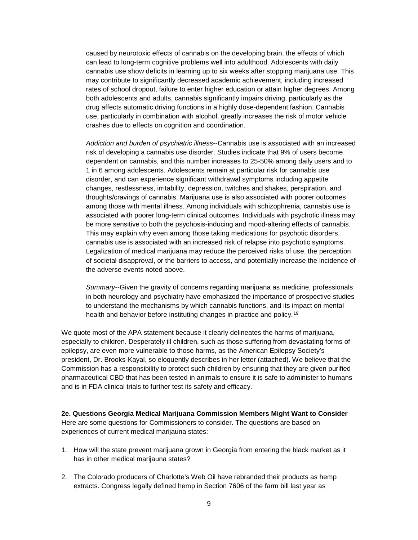caused by neurotoxic effects of cannabis on the developing brain, the effects of which can lead to long-term cognitive problems well into adulthood. Adolescents with daily cannabis use show deficits in learning up to six weeks after stopping marijuana use. This may contribute to significantly decreased academic achievement, including increased rates of school dropout, failure to enter higher education or attain higher degrees. Among both adolescents and adults, cannabis significantly impairs driving, particularly as the drug affects automatic driving functions in a highly dose-dependent fashion. Cannabis use, particularly in combination with alcohol, greatly increases the risk of motor vehicle crashes due to effects on cognition and coordination.

*Addiction and burden of psychiatric illness*--Cannabis use is associated with an increased risk of developing a cannabis use disorder. Studies indicate that 9% of users become dependent on cannabis, and this number increases to 25-50% among daily users and to 1 in 6 among adolescents. Adolescents remain at particular risk for cannabis use disorder, and can experience significant withdrawal symptoms including appetite changes, restlessness, irritability, depression, twitches and shakes, perspiration, and thoughts/cravings of cannabis. Marijuana use is also associated with poorer outcomes among those with mental illness. Among individuals with schizophrenia, cannabis use is associated with poorer long-term clinical outcomes. Individuals with psychotic illness may be more sensitive to both the psychosis-inducing and mood-altering effects of cannabis. This may explain why even among those taking medications for psychotic disorders, cannabis use is associated with an increased risk of relapse into psychotic symptoms. Legalization of medical marijuana may reduce the perceived risks of use, the perception of societal disapproval, or the barriers to access, and potentially increase the incidence of the adverse events noted above.

*Summary*--Given the gravity of concerns regarding marijuana as medicine, professionals in both neurology and psychiatry have emphasized the importance of prospective studies to understand the mechanisms by which cannabis functions, and its impact on mental health and behavior before instituting changes in practice and policy.[19](#page-12-18)

We quote most of the APA statement because it clearly delineates the harms of marijuana, especially to children. Desperately ill children, such as those suffering from devastating forms of epilepsy, are even more vulnerable to those harms, as the American Epilepsy Society's president, Dr. Brooks-Kayal, so eloquently describes in her letter (attached). We believe that the Commission has a responsibility to protect such children by ensuring that they are given purified pharmaceutical CBD that has been tested in animals to ensure it is safe to administer to humans and is in FDA clinical trials to further test its safety and efficacy.

**2e. Questions Georgia Medical Marijuana Commission Members Might Want to Consider** Here are some questions for Commissioners to consider. The questions are based on experiences of current medical marijauna states:

- 1. How will the state prevent marijuana grown in Georgia from entering the black market as it has in other medical marijauna states?
- 2. The Colorado producers of Charlotte's Web Oil have rebranded their products as hemp extracts. Congress legally defined hemp in Section 7606 of the farm bill last year as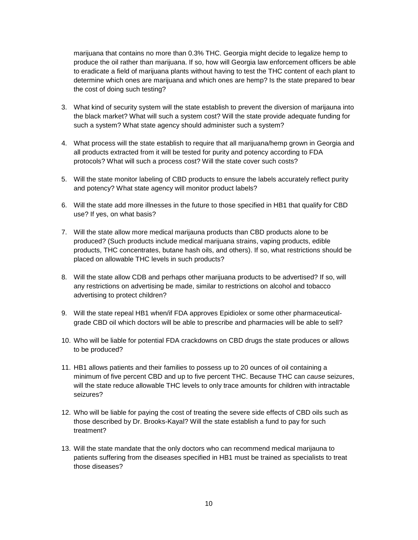marijuana that contains no more than 0.3% THC. Georgia might decide to legalize hemp to produce the oil rather than marijuana. If so, how will Georgia law enforcement officers be able to eradicate a field of marijuana plants without having to test the THC content of each plant to determine which ones are marijuana and which ones are hemp? Is the state prepared to bear the cost of doing such testing?

- 3. What kind of security system will the state establish to prevent the diversion of marijauna into the black market? What will such a system cost? Will the state provide adequate funding for such a system? What state agency should administer such a system?
- 4. What process will the state establish to require that all marijuana/hemp grown in Georgia and all products extracted from it will be tested for purity and potency according to FDA protocols? What will such a process cost? Will the state cover such costs?
- 5. Will the state monitor labeling of CBD products to ensure the labels accurately reflect purity and potency? What state agency will monitor product labels?
- 6. Will the state add more illnesses in the future to those specified in HB1 that qualify for CBD use? If yes, on what basis?
- 7. Will the state allow more medical marijauna products than CBD products alone to be produced? (Such products include medical marijuana strains, vaping products, edible products, THC concentrates, butane hash oils, and others). If so, what restrictions should be placed on allowable THC levels in such products?
- 8. Will the state allow CDB and perhaps other marijuana products to be advertised? If so, will any restrictions on advertising be made, similar to restrictions on alcohol and tobacco advertising to protect children?
- 9. Will the state repeal HB1 when/if FDA approves Epidiolex or some other pharmaceuticalgrade CBD oil which doctors will be able to prescribe and pharmacies will be able to sell?
- 10. Who will be liable for potential FDA crackdowns on CBD drugs the state produces or allows to be produced?
- 11. HB1 allows patients and their families to possess up to 20 ounces of oil containing a minimum of five percent CBD and up to five percent THC. Because THC can *cause* seizures, will the state reduce allowable THC levels to only trace amounts for children with intractable seizures?
- 12. Who will be liable for paying the cost of treating the severe side effects of CBD oils such as those described by Dr. Brooks-Kayal? Will the state establish a fund to pay for such treatment?
- 13. Will the state mandate that the only doctors who can recommend medical marijauna to patients suffering from the diseases specified in HB1 must be trained as specialists to treat those diseases?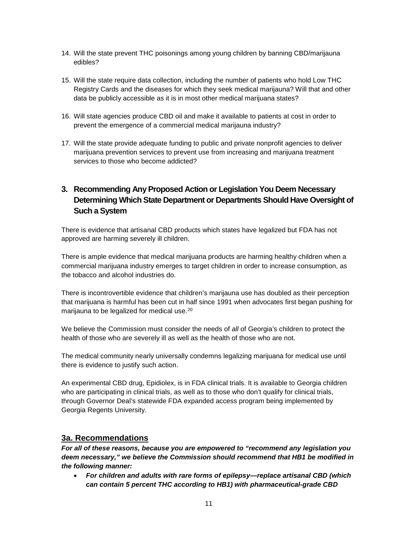- 14. Will the state prevent THC poisonings among young children by banning CBD/marijauna edibles?
- 15. Will the state require data collection, including the number of patients who hold Low THC Registry Cards and the diseases for which they seek medical marijauna? Will that and other data be publicly accessible as it is in most other medical marijuana states?
- 16. Will state agencies produce CBD oil and make it available to patients at cost in order to prevent the emergence of a commercial medical marijauna industry?
- 17. Will the state provide adequate funding to public and private nonprofit agencies to deliver marijuana prevention services to prevent use from increasing and marijuana treatment services to those who become addicted?

# **3. Recommending Any Proposed Action or Legislation You Deem Necessary Determining Which State Department or Departments Should Have Oversight of Such a System**

There is evidence that artisanal CBD products which states have legalized but FDA has not approved are harming severely ill children.

There is ample evidence that medical marijuana products are harming healthy children when a commercial marijuana industry emerges to target children in order to increase consumption, as the tobacco and alcohol industries do.

There is incontrovertible evidence that children's marijauna use has doubled as their perception that marijuana is harmful has been cut in half since 1991 when advocates first began pushing for marijauna to be legalized for medical use.<sup>[20](#page-12-19)</sup>

We believe the Commission must consider the needs of *all* of Georgia's children to protect the health of those who are severely ill as well as the health of those who are not.

The medical community nearly universally condemns legalizing marijuana for medical use until there is evidence to justify such action.

An experimental CBD drug, Epidiolex, is in FDA clinical trials. It is available to Georgia children who are participating in clinical trials, as well as to those who don't qualify for clinical trials, through Governor Deal's statewide FDA expanded access program being implemented by Georgia Regents University.

# **3a. Recommendations**

*For all of these reasons, because you are empowered to "recommend any legislation you deem necessary," we believe the Commission should recommend that HB1 be modified in the following manner:*

• *For children and adults with rare forms of epilepsy—replace artisanal CBD (which can contain 5 percent THC according to HB1) with pharmaceutical-grade CBD*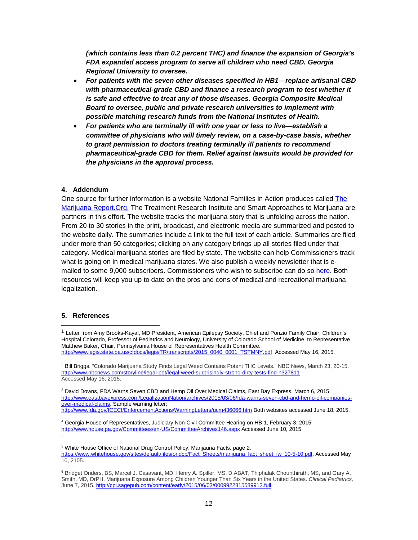*(which contains less than 0.2 percent THC) and finance the expansion of Georgia's FDA expanded access program to serve all children who need CBD. Georgia Regional University to oversee.*

- *For patients with the seven other diseases specified in HB1—replace artisanal CBD with pharmaceutical-grade CBD and finance a research program to test whether it is safe and effective to treat any of those diseases. Georgia Composite Medical Board to oversee, public and private research universities to implement with possible matching research funds from the National Institutes of Health.*
- *For patients who are terminally ill with one year or less to live—establish a committee of physicians who will timely review, on a case-by-case basis, whether to grant permission to doctors treating terminally ill patients to recommend pharmaceutical-grade CBD for them. Relief against lawsuits would be provided for the physicians in the approval process.*

#### **4. Addendum**

One source for further information is a website National Families in Action produces called [The](http://www.themarijuanareport.org/)  [Marijuana Report.Org.](http://www.themarijuanareport.org/) The Treatment Research Institute and Smart Approaches to Marijuana are partners in this effort. The website tracks the marijuana story that is unfolding across the nation. From 20 to 30 stories in the print, broadcast, and electronic media are summarized and posted to the website daily. The summaries include a link to the full text of each article. Summaries are filed under more than 50 categories; clicking on any category brings up all stories filed under that category. Medical marijuana stories are filed by state. The website can help Commissioners track what is going on in medical marijuana states. We also publish a weekly newsletter that is emailed to some 9,000 subscribers. Commissioners who wish to subscribe can do so [here.](http://themarijuanareport.org/subscribe/) Both resources will keep you up to date on the pros and cons of medical and recreational marijuana legalization.

#### **5. References**

.

-

<sup>3</sup> David Downs, FDA Warns Seven CBD and Hemp Oil Over Medical Claims, East Bay Express, March 6, 2015. [http://www.eastbayexpress.com/LegalizationNation/archives/2015/03/06/fda-warns-seven-cbd-and-hemp-oil-companies](http://www.eastbayexpress.com/LegalizationNation/archives/2015/03/06/fda-warns-seven-cbd-and-hemp-oil-companies-over-medical-claims)[over-medical-claims.](http://www.eastbayexpress.com/LegalizationNation/archives/2015/03/06/fda-warns-seven-cbd-and-hemp-oil-companies-over-medical-claims) Sample warning letter: <http://www.fda.gov/ICECI/EnforcementActions/WarningLetters/ucm436066.htm> Both websites accessed June 18, 2015.

<sup>1</sup> Letter from Amy Brooks-Kayal, MD President, American Epilepsy Society, Chief and Ponzio Family Chair, Children's Hospital Colorado, Professor of Pediatrics and Neurology, University of Colorado School of Medicine, to Representative Matthew Baker, Chair, Pennsylvania House of Representatives Health Committee. [http://www.legis.state.pa.us/cfdocs/legis/TR/transcripts/2015\\_0040\\_0001\\_TSTMNY.pdf](http://www.legis.state.pa.us/cfdocs/legis/TR/transcripts/2015_0040_0001_TSTMNY.pdf) Accessed May 16, 2015.

<sup>&</sup>lt;sup>2</sup> Bill Briggs. "Colorado Marijuana Study Finds Legal Weed Contains Potent THC Levels." NBC News, March 23, 20-15. <http://www.nbcnews.com/storyline/legal-pot/legal-weed-surprisingly-strong-dirty-tests-find-n327811> Accessed May 16, 2015.

<sup>4</sup> Georgia House of Representatives, Judiciary Non-Civil Committee Hearing on HB 1, February 3, 2015. <http://www.house.ga.gov/Committees/en-US/CommitteeArchives146.aspx> Accessed June 10, 2015

<sup>5</sup> White House Office of National Drug Control Policy, Marijauna Facts, page 2. [https://www.whitehouse.gov/sites/default/files/ondcp/Fact\\_Sheets/marijuana\\_fact\\_sheet\\_jw\\_10-5-10.pdf.](https://www.whitehouse.gov/sites/default/files/ondcp/Fact_Sheets/marijuana_fact_sheet_jw_10-5-10.pdf) Accessed May 10, 2105.

<sup>6</sup> Bridget [Onders,](http://cpj.sagepub.com/search?author1=Bridget+Onders&sortspec=date&submit=Submit) BS, Marcel J. [Casavant,](http://cpj.sagepub.com/search?author1=Marcel+J.+Casavant&sortspec=date&submit=Submit) MD, Henry A. [Spiller,](http://cpj.sagepub.com/search?author1=Henry+A.+Spiller&sortspec=date&submit=Submit) MS, D.ABAT, Thiphalak [Chounthirath,](http://cpj.sagepub.com/search?author1=Thiphalak+Chounthirath&sortspec=date&submit=Submit) MS, and [Gary](http://cpj.sagepub.com/search?author1=Gary+A.+Smith&sortspec=date&submit=Submit) A. [Smith,](http://cpj.sagepub.com/search?author1=Gary+A.+Smith&sortspec=date&submit=Submit) MD, DrPH. Marijuana Exposure Among Children Younger Than Six Years in the United States. *Clinical Pediatrics,* June 7, 2015[. http://cpj.sagepub.com/content/early/2015/06/03/0009922815589912.full](http://cpj.sagepub.com/content/early/2015/06/03/0009922815589912.full)